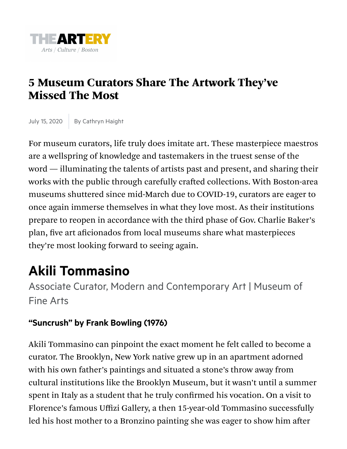

## 5 Museum Curators Share The Artwork They've Missed The Most

July 15, 2020 | By Cathryn Haight

For museum curators, life truly does imitate art. These masterpiece maestros are a wellspring of knowledge and tastemakers in the truest sense of the word — illuminating the talents of artists past and present, and sharing their works with the public through carefully crafted collections. With Boston-area museums shuttered since mid-March due to COVID-19, curators are eager to once again immerse themselves in what they love most. As their institutions prepare to reopen in accordance with the third phase of Gov. Charlie Baker's plan, five art aficionados from local museums share what masterpieces they're most looking forward to seeing again.

## **Akili Tommasino**

Associate Curator, Modern and Contemporary Art | Museum of Fine Arts

## **"Suncrush" by Frank Bowling (1976)**

Akili Tommasino can pinpoint the exact moment he felt called to become a curator. The Brooklyn, New York native grew up in an apartment adorned with his own father's paintings and situated a stone's throw away from cultural institutions like the Brooklyn Museum, but it wasn't until a summer spent in Italy as a student that he truly confirmed his vocation. On a visit to Florence's famous Uffizi Gallery, a then 15-year-old Tommasino successfully led his host mother to a Bronzino painting she was eager to show him after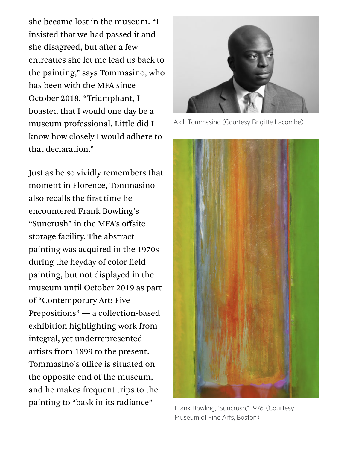she became lost in the museum. "I insisted that we had passed it and she disagreed, but after a few entreaties she let me lead us back to the painting," says Tommasino, who has been with the MFA since October 2018. "Triumphant, I boasted that I would one day be a museum professional. Little did I know how closely I would adhere to that declaration."

Just as he so vividly remembers that moment in Florence, Tommasino also recalls the first time he encountered Frank Bowling's "Suncrush" in the MFA's offsite storage facility. The abstract painting was acquired in the 1970s during the heyday of color field painting, but not displayed in the museum until October 2019 as part of "Contemporary Art: Five Prepositions" — a collection-based exhibition highlighting work from integral, yet underrepresented artists from 1899 to the present. Tommasino's office is situated on the opposite end of the museum, and he makes frequent trips to the painting to "bask in its radiance"



Akili Tommasino (Courtesy Brigitte Lacombe)



[Frank Bowling, "Suncrush," 1976. \(Courtesy](https://d279m997dpfwgl.cloudfront.net/wp/2020/07/01_Suncrush1.jpg) Museum of Fine Arts, Boston)